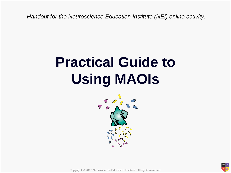*Handout for the Neuroscience Education Institute (NEI) online activity:* 

#### **Practical Guide to Using MAOIs**



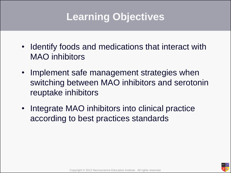#### **Learning Objectives**

- Identify foods and medications that interact with MAO inhibitors
- Implement safe management strategies when switching between MAO inhibitors and serotonin reuptake inhibitors
- Integrate MAO inhibitors into clinical practice according to best practices standards

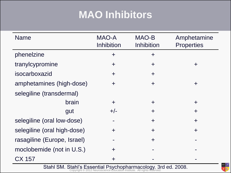#### **MAO Inhibitors**

| <b>Name</b>                 | MAO-A<br><b>Inhibition</b> | MAO-B<br>Inhibition | Amphetamine<br><b>Properties</b> |
|-----------------------------|----------------------------|---------------------|----------------------------------|
| phenelzine                  | $\ddot{}$                  | $\ddot{}$           |                                  |
| tranylcypromine             | $\pm$                      | $\pm$               | ╋                                |
| isocarboxazid               | $\div$                     | $+$                 |                                  |
| amphetamines (high-dose)    | $\div$                     | $+$                 | $\pm$                            |
| selegiline (transdermal)    |                            |                     |                                  |
| brain                       | $\div$                     | $\pm$               | $\div$                           |
| gut                         | $+/-$                      | $\div$              | $\pm$                            |
| selegiline (oral low-dose)  |                            | $\ddag$             | $\pm$                            |
| selegiline (oral high-dose) | $\ddag$                    | $+$                 | $\pm$                            |
| rasagiline (Europe, Israel) | $\blacksquare$             | $+$                 |                                  |
| moclobemide (not in U.S.)   | $\div$                     |                     |                                  |
| CX 157                      | ╋                          |                     |                                  |

Stahl SM. Stahl's Essential Psychopharmacology. 3rd ed. 2008.<br>Copyright © 2012 Neuroscience Education Institute. All rights reserved.

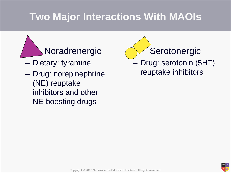#### **Two Major Interactions With MAOIs**

#### Noradrenergic

- Dietary: tyramine
- Drug: norepinephrine (NE) reuptake inhibitors and other NE-boosting drugs

 Serotonergic – Drug: serotonin (5HT) reuptake inhibitors

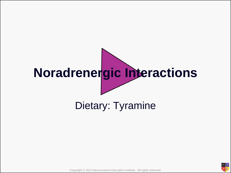# **Noradrenergic Interactions**

#### Dietary: Tyramine

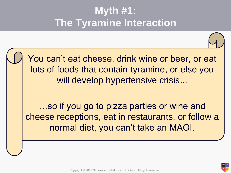#### **Myth #1: The Tyramine Interaction**

You can't eat cheese, drink wine or beer, or eat lots of foods that contain tyramine, or else you will develop hypertensive crisis...

…so if you go to pizza parties or wine and cheese receptions, eat in restaurants, or follow a normal diet, you can't take an MAOI.

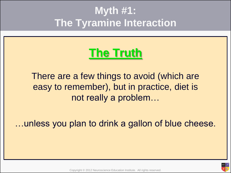#### **Myth #1: The Tyramine Interaction**

#### **The Truth**

There are a few things to avoid (which are easy to remember), but in practice, diet is not really a problem…

…unless you plan to drink a gallon of blue cheese.

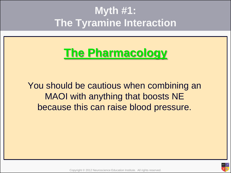#### **Myth #1: The Tyramine Interaction**

#### **The Pharmacology**

You should be cautious when combining an MAOI with anything that boosts NE because this can raise blood pressure.

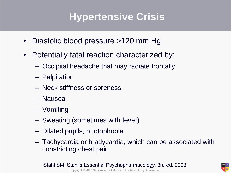#### **Hypertensive Crisis**

- Diastolic blood pressure >120 mm Hg
- Potentially fatal reaction characterized by:
	- Occipital headache that may radiate frontally
	- Palpitation
	- Neck stiffness or soreness
	- Nausea
	- Vomiting
	- Sweating (sometimes with fever)
	- Dilated pupils, photophobia
	- Tachycardia or bradycardia, which can be associated with constricting chest pain

Copyright © 2012 Neuroscience Education Institute. All rights reserved. Stahl SM. Stahl's Essential Psychopharmacology. 3rd ed. 2008.

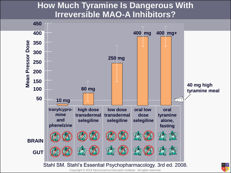#### **How Much Tyramine Is Dangerous With Irreversible MAO-A Inhibitors?**

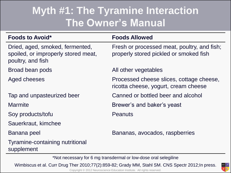#### **Myth #1: The Tyramine Interaction The Owner's Manual**

| <b>Foods to Avoid*</b>                                                                      | <b>Foods Allowed</b>                                                                  |
|---------------------------------------------------------------------------------------------|---------------------------------------------------------------------------------------|
| Dried, aged, smoked, fermented,<br>spoiled, or improperly stored meat,<br>poultry, and fish | Fresh or processed meat, poultry, and fish;<br>properly stored pickled or smoked fish |
| Broad bean pods                                                                             | All other vegetables                                                                  |
| Aged cheeses                                                                                | Processed cheese slices, cottage cheese,<br>ricotta cheese, yogurt, cream cheese      |
| Tap and unpasteurized beer                                                                  | Canned or bottled beer and alcohol                                                    |
| <b>Marmite</b>                                                                              | Brewer's and baker's yeast                                                            |
| Soy products/tofu                                                                           | <b>Peanuts</b>                                                                        |
| Sauerkraut, kimchee                                                                         |                                                                                       |
| Banana peel                                                                                 | Bananas, avocados, raspberries                                                        |
| Tyramine-containing nutritional<br>supplement                                               |                                                                                       |

\*Not necessary for 6 mg transdermal or low-dose oral selegiline

Wimbiscus et al. Curr Drug Ther 2010;77(2):859-82; Grady MM, Stahl SM. CNS Spectr 2012;In press.

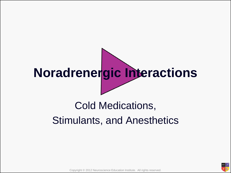## **Noradrenergic Interactions**

#### Cold Medications, Stimulants, and Anesthetics

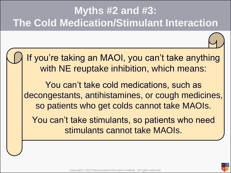#### **Myths #2 and #3: The Cold Medication/Stimulant Interaction**

If you're taking an MAOI, you can't take anything with NE reuptake inhibition, which means:

You can't take cold medications, such as decongestants, antihistamines, or cough medicines, so patients who get colds cannot take MAOIs.

You can't take stimulants, so patients who need stimulants cannot take MAOIs.

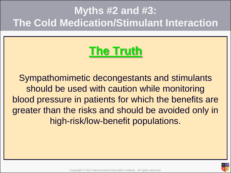#### **Myths #2 and #3: The Cold Medication/Stimulant Interaction**

#### **The Truth**

Sympathomimetic decongestants and stimulants should be used with caution while monitoring blood pressure in patients for which the benefits are greater than the risks and should be avoided only in high-risk/low-benefit populations.

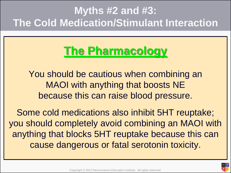#### **Myths #2 and #3: The Cold Medication/Stimulant Interaction**

#### **The Pharmacology**

You should be cautious when combining an MAOI with anything that boosts NE because this can raise blood pressure.

Some cold medications also inhibit 5HT reuptake; you should completely avoid combining an MAOI with anything that blocks 5HT reuptake because this can cause dangerous or fatal serotonin toxicity.

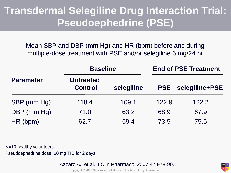#### **Transdermal Selegiline Drug Interaction Trial: Pseudoephedrine (PSE)**

Mean SBP and DBP (mm Hg) and HR (bpm) before and during multiple-dose treatment with PSE and/or selegiline 6 mg/24 hr

|                  |                                    | <b>Baseline</b> |       | <b>End of PSE Treatment</b> |  |
|------------------|------------------------------------|-----------------|-------|-----------------------------|--|
| <b>Parameter</b> | <b>Untreated</b><br><b>Control</b> | selegiline      |       | <b>PSE</b> selegiline+PSE   |  |
| SBP (mm Hg)      | 118.4                              | 109.1           | 122.9 | 122.2                       |  |
| DBP (mm Hg)      | 71.0                               | 63.2            | 68.9  | 67.9                        |  |
| HR (bpm)         | 62.7                               | 59.4            | 73.5  | 75.5                        |  |

N=10 healthy volunteers Pseudoephedrine dose: 60 mg TID for 2 days

Azzaro AJ et al. J Clin Pharmacol 2007;47:978-90.



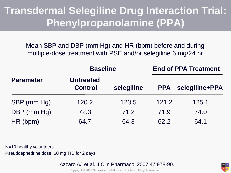#### **Transdermal Selegiline Drug Interaction Trial: Phenylpropanolamine (PPA)**

Mean SBP and DBP (mm Hg) and HR (bpm) before and during multiple-dose treatment with PSE and/or selegiline 6 mg/24 hr

|                  | <b>Baseline</b>                    |            | <b>End of PPA Treatment</b> |                |
|------------------|------------------------------------|------------|-----------------------------|----------------|
| <b>Parameter</b> | <b>Untreated</b><br><b>Control</b> | selegiline | <b>PPA</b>                  | selegiline+PPA |
| SBP (mm Hg)      | 120.2                              | 123.5      | 121.2                       | 125.1          |
| DBP (mm Hg)      | 72.3                               | 71.2       | 71.9                        | 74.0           |
| HR (bpm)         | 64.7                               | 64.3       | 62.2                        | 64.1           |

N=10 healthy volunteers Pseudoephedrine dose: 60 mg TID for 2 days

Azzaro AJ et al. J Clin Pharmacol 2007;47:978-90.



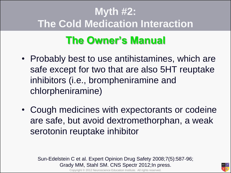#### **Myth #2: The Cold Medication Interaction**

#### **The Owner's Manual**

- Probably best to use antihistamines, which are safe except for two that are also 5HT reuptake inhibitors (i.e., brompheniramine and chlorpheniramine)
- Cough medicines with expectorants or codeine are safe, but avoid dextromethorphan, a weak serotonin reuptake inhibitor

Sun-Edelstein C et al. Expert Opinion Drug Safety 2008;7(5):587-96; Grady MM, Stahl SM. CNS Spectr 2012;In press.



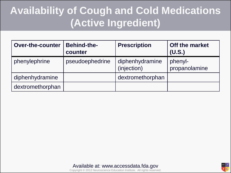#### **Availability of Cough and Cold Medications (Active Ingredient)**

| <b>Over-the-counter</b> | <b>Behind-the-</b><br>counter | <b>Prescription</b>            | <b>Off the market</b><br>(U.S.) |
|-------------------------|-------------------------------|--------------------------------|---------------------------------|
| phenylephrine           | pseudoephedrine               | diphenhydramine<br>(injection) | phenyl-<br>propanolamine        |
| diphenhydramine         |                               | dextromethorphan               |                                 |
| dextromethorphan        |                               |                                |                                 |



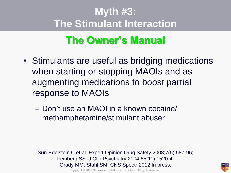#### **Myth #3: The Stimulant Interaction**

#### **The Owner's Manual**

- Stimulants are useful as bridging medications when starting or stopping MAOIs and as augmenting medications to boost partial response to MAOIs
	- Don't use an MAOI in a known cocaine/ methamphetamine/stimulant abuser

Sun-Edelstein C et al. Expert Opinion Drug Safety 2008;7(5):587-96; Feinberg SS. J Clin Psychiatry 2004;65(11):1520-4; Grady MM, Stahl SM. CNS Spectr 2012;In press.



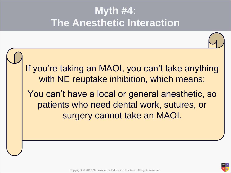

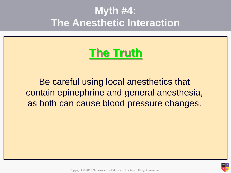#### **The Truth**

Be careful using local anesthetics that contain epinephrine and general anesthesia, as both can cause blood pressure changes.

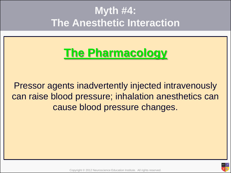#### **The Pharmacology**

Pressor agents inadvertently injected intravenously can raise blood pressure; inhalation anesthetics can cause blood pressure changes.

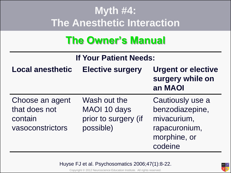#### **The Owner's Manual**

| <b>If Your Patient Needs:</b>                                   |                                                                   |                                                                                                |  |
|-----------------------------------------------------------------|-------------------------------------------------------------------|------------------------------------------------------------------------------------------------|--|
| <b>Local anesthetic</b>                                         | <b>Elective surgery</b>                                           | <b>Urgent or elective</b><br>surgery while on<br>an MAOI                                       |  |
| Choose an agent<br>that does not<br>contain<br>vasoconstrictors | Wash out the<br>MAOI 10 days<br>prior to surgery (if<br>possible) | Cautiously use a<br>benzodiazepine,<br>mivacurium,<br>rapacuronium,<br>morphine, or<br>codeine |  |

Huyse FJ et al. Psychosomatics 2006;47(1):8-22.



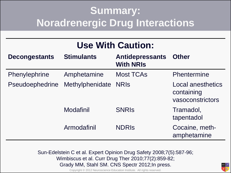#### **Summary: Noradrenergic Drug Interactions**

|  |  | <b>Use With Caution:</b> |
|--|--|--------------------------|
|--|--|--------------------------|

| <b>Decongestants</b> | <b>Stimulants</b> | <b>Antidepressants</b><br><b>With NRIS</b> | <b>Other</b>                                               |
|----------------------|-------------------|--------------------------------------------|------------------------------------------------------------|
| Phenylephrine        | Amphetamine       | <b>Most TCAs</b>                           | Phentermine                                                |
| Pseudoephedrine      | Methylphenidate   | <b>NRIS</b>                                | <b>Local anesthetics</b><br>containing<br>vasoconstrictors |
|                      | Modafinil         | <b>SNRIS</b>                               | Tramadol,<br>tapentadol                                    |
|                      | Armodafinil       | <b>NDRIS</b>                               | Cocaine, meth-<br>amphetamine                              |

Sun-Edelstein C et al. Expert Opinion Drug Safety 2008;7(5):587-96; Wimbiscus et al. Curr Drug Ther 2010;77(2):859-82; Grady MM, Stahl SM. CNS Spectr 2012;In press.

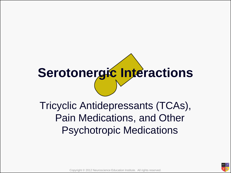### **Serotonergic Interactions**

Tricyclic Antidepressants (TCAs), Pain Medications, and Other Psychotropic Medications

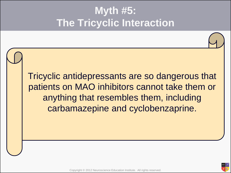Tricyclic antidepressants are so dangerous that patients on MAO inhibitors cannot take them or anything that resembles them, including carbamazepine and cyclobenzaprine.

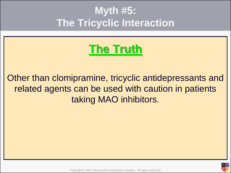#### **The Truth**

#### Other than clomipramine, tricyclic antidepressants and related agents can be used with caution in patients taking MAO inhibitors.

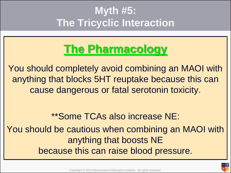#### **The Pharmacology**

You should completely avoid combining an MAOI with anything that blocks 5HT reuptake because this can cause dangerous or fatal serotonin toxicity.

\*\*Some TCAs also increase NE:

You should be cautious when combining an MAOI with anything that boosts NE because this can raise blood pressure.

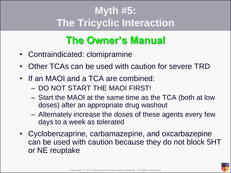#### **The Owner's Manual**

- Contraindicated: clomipramine
- Other TCAs can be used with caution for severe TRD
- If an MAOI and a TCA are combined:
	- DO NOT START THE MAOI FIRST!
	- Start the MAOI at the same time as the TCA (both at low doses) after an appropriate drug washout
	- Alternately increase the doses of these agents every few days to a week as tolerated
- Cyclobenzaprine, carbamazepine, and oxcarbazepine can be used with caution because they do not block 5HT or NE reuptake

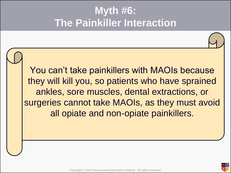You can't take painkillers with MAOIs because they will kill you, so patients who have sprained ankles, sore muscles, dental extractions, or surgeries cannot take MAOIs, as they must avoid all opiate and non-opiate painkillers.

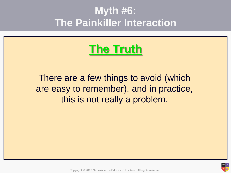#### **The Truth**

There are a few things to avoid (which are easy to remember), and in practice, this is not really a problem.

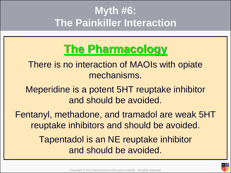#### **The Pharmacology**

There is no interaction of MAOIs with opiate mechanisms.

Meperidine is a potent 5HT reuptake inhibitor and should be avoided.

Fentanyl, methadone, and tramadol are weak 5HT reuptake inhibitors and should be avoided.

> Tapentadol is an NE reuptake inhibitor and should be avoided.

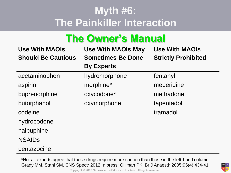#### **The Owner's Manual**

| <b>Use With MAOIs</b><br><b>Should Be Cautious</b> | <b>Use With MAOIs May</b><br><b>Sometimes Be Done</b> | <b>Use With MAOIs</b><br><b>Strictly Prohibited</b> |
|----------------------------------------------------|-------------------------------------------------------|-----------------------------------------------------|
|                                                    | <b>By Experts</b>                                     |                                                     |
| acetaminophen                                      | hydromorphone                                         | fentanyl                                            |
| aspirin                                            | morphine*                                             | meperidine                                          |
| buprenorphine                                      | oxycodone*                                            | methadone                                           |
| butorphanol                                        | oxymorphone                                           | tapentadol                                          |
| codeine                                            |                                                       | tramadol                                            |
| hydrocodone                                        |                                                       |                                                     |
| nalbuphine                                         |                                                       |                                                     |
| <b>NSAIDS</b>                                      |                                                       |                                                     |
| pentazocine                                        |                                                       |                                                     |

\*Not all experts agree that these drugs require more caution than those in the left-hand column. Grady MM, Stahl SM. CNS Spectr 2012;In press; Gillman PK. Br J Anaesth 2005;95(4):434-41.



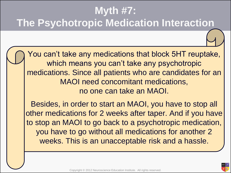You can't take any medications that block 5HT reuptake, which means you can't take any psychotropic medications. Since all patients who are candidates for an MAOI need concomitant medications, no one can take an MAOI.

Besides, in order to start an MAOI, you have to stop all other medications for 2 weeks after taper. And if you have to stop an MAOI to go back to a psychotropic medication, you have to go without all medications for another 2 weeks. This is an unacceptable risk and a hassle.

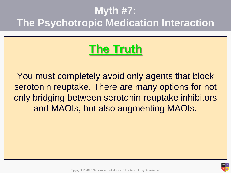#### **The Truth**

You must completely avoid only agents that block serotonin reuptake. There are many options for not only bridging between serotonin reuptake inhibitors and MAOIs, but also augmenting MAOIs.

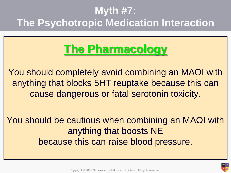#### **The Pharmacology**

You should completely avoid combining an MAOI with anything that blocks 5HT reuptake because this can cause dangerous or fatal serotonin toxicity.

You should be cautious when combining an MAOI with anything that boosts NE because this can raise blood pressure.

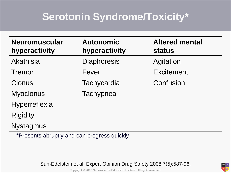#### **Serotonin Syndrome/Toxicity\***

| <b>Neuromuscular</b><br>hyperactivity | <b>Autonomic</b><br>hyperactivity | <b>Altered mental</b><br><b>status</b> |
|---------------------------------------|-----------------------------------|----------------------------------------|
| Akathisia                             | <b>Diaphoresis</b>                | Agitation                              |
| Tremor                                | Fever                             | <b>Excitement</b>                      |
| Clonus                                | Tachycardia                       | Confusion                              |
| <b>Myoclonus</b>                      | Tachypnea                         |                                        |
| Hyperreflexia                         |                                   |                                        |
| <b>Rigidity</b>                       |                                   |                                        |
| <b>Nystagmus</b>                      |                                   |                                        |

\*Presents abruptly and can progress quickly

Sun-Edelstein et al. Expert Opinion Drug Safety 2008;7(5):587-96.

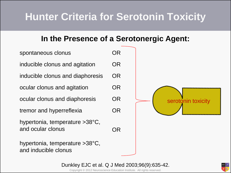#### **Hunter Criteria for Serotonin Toxicity**

#### **In the Presence of a Serotonergic Agent:**



Copyright © 2012 Neuroscience Education Institute. All rights reserved. Dunkley EJC et al. Q J Med 2003;96(9):635-42.

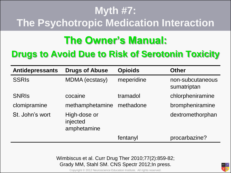#### **The Owner's Manual:**

#### **Drugs to Avoid Due to Risk of Serotonin Toxicity**

| <b>Antidepressants</b> | <b>Drugs of Abuse</b>                   | <b>Opioids</b> | <b>Other</b>                    |
|------------------------|-----------------------------------------|----------------|---------------------------------|
| <b>SSRIS</b>           | <b>MDMA</b> (ecstasy)                   | meperidine     | non-subcutaneous<br>sumatriptan |
| <b>SNRIS</b>           | cocaine                                 | tramadol       | chlorpheniramine                |
| clomipramine           | methamphetamine                         | methadone      | brompheniramine                 |
| St. John's wort        | High-dose or<br>injected<br>amphetamine |                | dextromethorphan                |
|                        |                                         | fentanyl       | procarbazine?                   |

Wimbiscus et al. Curr Drug Ther 2010;77(2):859-82; Grady MM, Stahl SM. CNS Spectr 2012;In press.

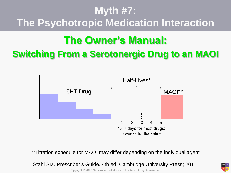#### **The Owner's Manual:**

#### **Switching From a Serotonergic Drug to an MAOI**



\*\*Titration schedule for MAOI may differ depending on the individual agent

Stahl SM. Prescriber's Guide. 4th ed. Cambridge University Press; 2011.

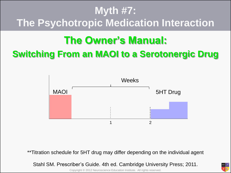#### **The Owner's Manual: Switching From an MAOI to a Serotonergic Drug**



\*\*Titration schedule for 5HT drug may differ depending on the individual agent

Stahl SM. Prescriber's Guide. 4th ed. Cambridge University Press; 2011.

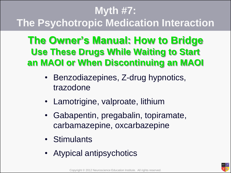#### **The Owner's Manual: How to Bridge Use These Drugs While Waiting to Start an MAOI or When Discontinuing an MAOI**

- Benzodiazepines, Z-drug hypnotics, trazodone
- Lamotrigine, valproate, lithium
- Gabapentin, pregabalin, topiramate, carbamazepine, oxcarbazepine
- Stimulants
- Atypical antipsychotics